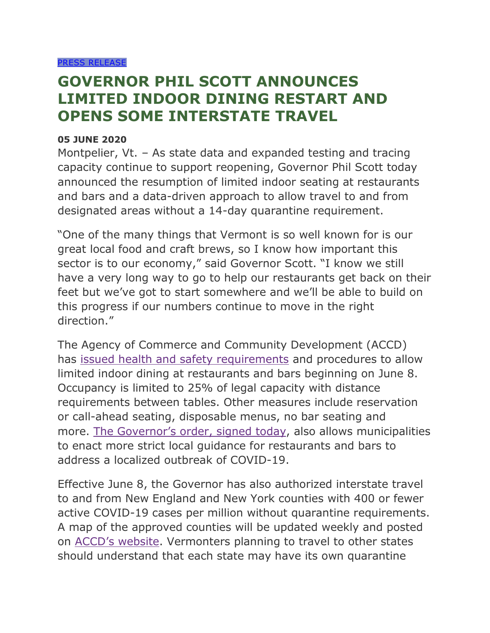## **GOVERNOR PHIL SCOTT ANNOUNCES LIMITED INDOOR DINING RESTART AND OPENS SOME INTERSTATE TRAVEL**

## **05 JUNE 2020**

Montpelier, Vt. – As state data and expanded testing and tracing capacity continue to support reopening, Governor Phil Scott today announced the resumption of limited indoor seating at restaurants and bars and a data-driven approach to allow travel to and from designated areas without a 14-day quarantine requirement.

"One of the many things that Vermont is so well known for is our great local food and craft brews, so I know how important this sector is to our economy," said Governor Scott. "I know we still have a very long way to go to help our restaurants get back on their feet but we've got to start somewhere and we'll be able to build on this progress if our numbers continue to move in the right direction."

The Agency of Commerce and Community Development (ACCD) has [issued health and safety requirements](https://accd.vermont.gov/content/stay-home-stay-safe-sector-specific-guidance) and procedures to allow limited indoor dining at restaurants and bars beginning on June 8. Occupancy is limited to 25% of legal capacity with distance requirements between tables. Other measures include reservation or call-ahead seating, disposable menus, no bar seating and more. [The Governor's order, signed today](https://governor.vermont.gov/content/addendum-17-executive-order-01-20), also allows municipalities to enact more strict local guidance for restaurants and bars to address a localized outbreak of COVID-19.

Effective June 8, the Governor has also authorized interstate travel to and from New England and New York counties with 400 or fewer active COVID-19 cases per million without quarantine requirements. A map of the approved counties will be updated weekly and posted on [ACCD's website](https://accd.vermont.gov/). Vermonters planning to travel to other states should understand that each state may have its own quarantine